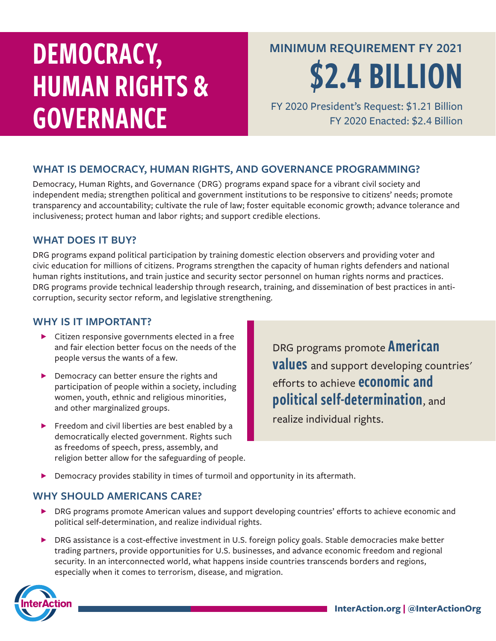# DEMOCRACY, HUMAN RIGHTS & GOVERNANCE

**MINIMUM REQUIREMENT FY 2021**

\$2.4 BILLION

FY 2020 President's Request: \$1.21 Billion FY 2020 Enacted: \$2.4 Billion

### **WHAT IS DEMOCRACY, HUMAN RIGHTS, AND GOVERNANCE PROGRAMMING?**

Democracy, Human Rights, and Governance (DRG) programs expand space for a vibrant civil society and independent media; strengthen political and government institutions to be responsive to citizens' needs; promote transparency and accountability; cultivate the rule of law; foster equitable economic growth; advance tolerance and inclusiveness; protect human and labor rights; and support credible elections.

#### **WHAT DOES IT BUY?**

DRG programs expand political participation by training domestic election observers and providing voter and civic education for millions of citizens. Programs strengthen the capacity of human rights defenders and national human rights institutions, and train justice and security sector personnel on human rights norms and practices. DRG programs provide technical leadership through research, training, and dissemination of best practices in anticorruption, security sector reform, and legislative strengthening.

#### **WHY IS IT IMPORTANT?**

- $\blacktriangleright$  Citizen responsive governments elected in a free and fair election better focus on the needs of the people versus the wants of a few.
- ▶ Democracy can better ensure the rights and participation of people within a society, including women, youth, ethnic and religious minorities, and other marginalized groups.
- ▶ Freedom and civil liberties are best enabled by a democratically elected government. Rights such as freedoms of speech, press, assembly, and religion better allow for the safeguarding of people.

DRG programs promote **American values** and support developing countries' efforts to achieve economic and political self-determination, and

realize individual rights.

Democracy provides stability in times of turmoil and opportunity in its aftermath.

#### WHY SHOULD AMERICANS CARE?

- ▶ DRG programs promote American values and support developing countries' efforts to achieve economic and political self-determination, and realize individual rights.
- ▶ DRG assistance is a cost-effective investment in U.S. foreign policy goals. Stable democracies make better trading partners, provide opportunities for U.S. businesses, and advance economic freedom and regional security. In an interconnected world, what happens inside countries transcends borders and regions, especially when it comes to terrorism, disease, and migration.